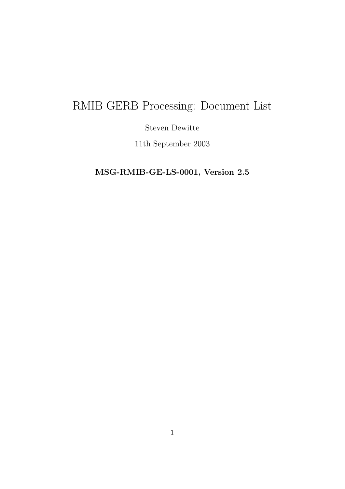# RMIB GERB Processing: Document List

Steven Dewitte

11th September 2003

MSG-RMIB-GE-LS-0001, Version 2.5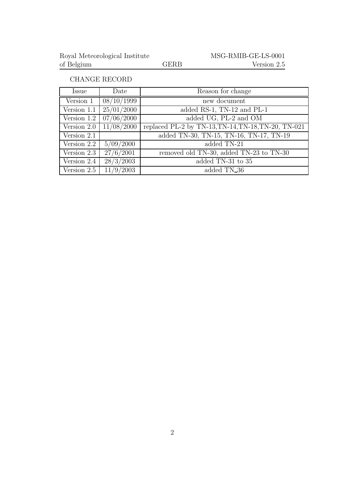#### CHANGE RECORD

| Issue       | Date       | Reason for change                                   |
|-------------|------------|-----------------------------------------------------|
| Version 1   | 08/10/1999 | new document                                        |
| Version 1.1 | 25/01/2000 | added RS-1, TN-12 and PL-1                          |
| Version 1.2 | 07/06/2000 | added UG, PL-2 and OM                               |
| Version 2.0 | 11/08/2000 | replaced PL-2 by TN-13, TN-14, TN-18, TN-20, TN-021 |
| Version 2.1 |            | added TN-30, TN-15, TN-16, TN-17, TN-19             |
| Version 2.2 | 5/09/2000  | added TN-21                                         |
| Version 2.3 | 27/6/2001  | removed old TN-30, added TN-23 to TN-30             |
| Version 2.4 | 28/3/2003  | added TN-31 to 35                                   |
| Version 2.5 | 11/9/2003  | added TN_36                                         |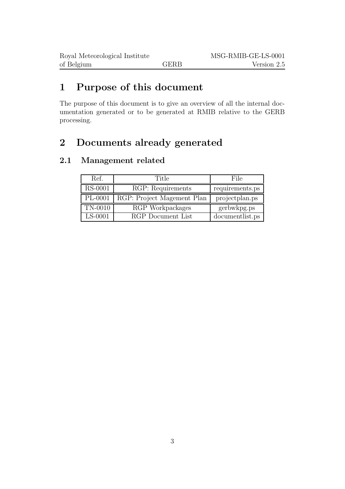### 1 Purpose of this document

The purpose of this document is to give an overview of all the internal documentation generated or to be generated at RMIB relative to the GERB processing.

### 2 Documents already generated

#### 2.1 Management related

| Ref.      | Title                      | File            |
|-----------|----------------------------|-----------------|
| RS-0001   | RGP: Requirements          | requirements.ps |
| $PL-0001$ | RGP: Project Magement Plan | projectplan.ps  |
| TN-0010   | RGP Workpackages           | gerbwkpg.ps     |
| $LS-0001$ | RGP Document List          | documentlist.ps |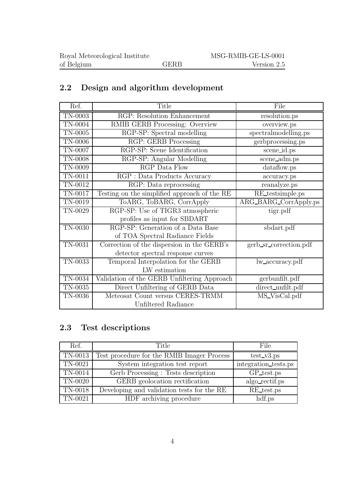### 2.2 Design and algorithm development

| Ref.           | Title                                        | File                   |
|----------------|----------------------------------------------|------------------------|
| <b>TN-0003</b> | RGP: Resolution Enhancement                  | resolution.ps          |
| TN-0004        | RMIB GERB Processing: Overview               | overview.ps            |
| TN-0005        | RGP-SP: Spectral modelling                   | spectralmodelling.ps   |
| <b>TN-0006</b> | RGP: GERB Processing                         | gerbprocessing.ps      |
| TN-0007        | RGP-SP: Scene Identification                 | scene_id.ps            |
| TN-0008        | RGP-SP: Angular Modelling                    | scene_adm.ps           |
| TN-0009        | RGP Data Flow                                | dataflow.ps            |
| $TN-0011$      | RGP : Data Products Accuracy                 | accuracy.ps            |
| TN-0012        | RGP: Data reprocessing                       | reanalyze.ps           |
| TN-0017        | Testing on the simplified approach of the RE | RE_testsimple.ps       |
| TN-0019        | ToARG, ToBARG, CorrApply                     | ARG_BARG_CorrApply.ps  |
| TN-0029        | RGP-SP: Use of TIGR3 atmospheric             | tigr.pdf               |
|                | profiles as input for SBDART                 |                        |
| TN-0030        | RGP-SP: Generation of a Data Base            | sbdart.pdf             |
|                | of TOA Spectral Radiance Fields              |                        |
| TN-0031        | Correction of the dispersion in the GERB's   | gerb_sr_correction.pdf |
|                | detector spectral response curves            |                        |
| TN-0033        | Temporal Interpolation for the GERB          | lw_accuracy.pdf        |
|                | LW estimation                                |                        |
| TN-0034        | Validation of the GERB Unfiltering Approach  | gerbunfilt.pdf         |
| TN-0035        | Direct Unfiltering of GERB Data              | direct_unfilt.pdf      |
| TN-0036        | Meteosat Count versus CERES-TRMM             | MS_VisCal.pdf          |
|                | Unfiltered Radiance                          |                        |

#### 2.3 Test descriptions

| Ref.    | Title                                      | File                 |
|---------|--------------------------------------------|----------------------|
| TN-0013 | Test procedure for the RMIB Imager Process | $test_v3.pys$        |
| TN-0021 | System integration test report             | integration_tests.ps |
| TN-0014 | Gerb Processing: Tests description         | GP_test.ps           |
| TN-0020 | GERB geolocation rectification             | algo_rectif.ps       |
| TN-0018 | Developing and validation tests for the RE | RE_test.ps           |
| TN-0021 | HDF archiving procedure                    | hdf.ps               |